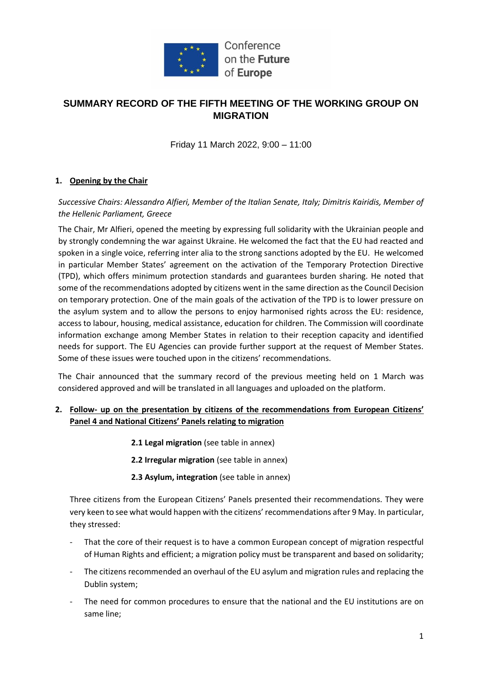

## **SUMMARY RECORD OF THE FIFTH MEETING OF THE WORKING GROUP ON MIGRATION**

Friday 11 March 2022, 9:00 – 11:00

## **1. Opening by the Chair**

*Successive Chairs: Alessandro Alfieri, Member of the Italian Senate, Italy; Dimitris Kairidis, Member of the Hellenic Parliament, Greece*

The Chair, Mr Alfieri, opened the meeting by expressing full solidarity with the Ukrainian people and by strongly condemning the war against Ukraine. He welcomed the fact that the EU had reacted and spoken in a single voice, referring inter alia to the strong sanctions adopted by the EU. He welcomed in particular Member States' agreement on the activation of the Temporary Protection Directive (TPD), which offers minimum protection standards and guarantees burden sharing. He noted that some of the recommendations adopted by citizens went in the same direction as the Council Decision on temporary protection. One of the main goals of the activation of the TPD is to lower pressure on the asylum system and to allow the persons to enjoy harmonised rights across the EU: residence, access to labour, housing, medical assistance, education for children. The Commission will coordinate information exchange among Member States in relation to their reception capacity and identified needs for support. The EU Agencies can provide further support at the request of Member States. Some of these issues were touched upon in the citizens' recommendations.

The Chair announced that the summary record of the previous meeting held on 1 March was considered approved and will be translated in all languages and uploaded on the platform.

## **2. Follow- up on the presentation by citizens of the recommendations from European Citizens' Panel 4 and National Citizens' Panels relating to migration**

- **2.1 Legal migration** (see table in annex)
- **2.2 Irregular migration** (see table in annex)
- **2.3 Asylum, integration** (see table in annex)

Three citizens from the European Citizens' Panels presented their recommendations. They were very keen to see what would happen with the citizens' recommendations after 9 May. In particular, they stressed:

- That the core of their request is to have a common European concept of migration respectful of Human Rights and efficient; a migration policy must be transparent and based on solidarity;
- The citizens recommended an overhaul of the EU asylum and migration rules and replacing the Dublin system;
- The need for common procedures to ensure that the national and the EU institutions are on same line;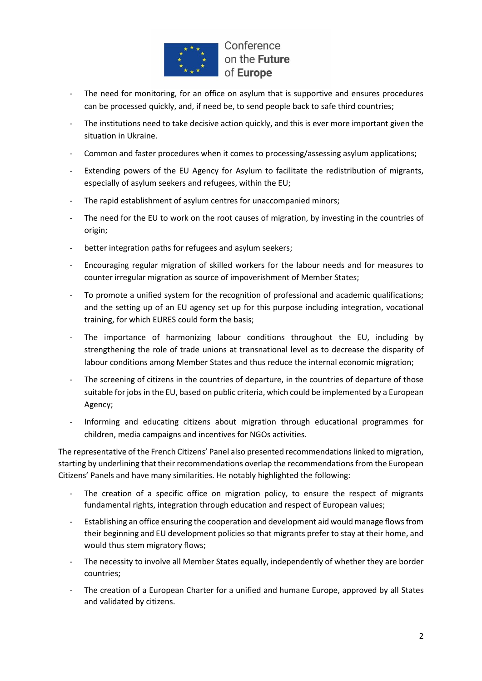

- The need for monitoring, for an office on asylum that is supportive and ensures procedures can be processed quickly, and, if need be, to send people back to safe third countries;
- The institutions need to take decisive action quickly, and this is ever more important given the situation in Ukraine.
- Common and faster procedures when it comes to processing/assessing asylum applications;
- Extending powers of the EU Agency for Asylum to facilitate the redistribution of migrants, especially of asylum seekers and refugees, within the EU;
- The rapid establishment of asylum centres for unaccompanied minors;
- The need for the EU to work on the root causes of migration, by investing in the countries of origin;
- better integration paths for refugees and asylum seekers;
- Encouraging regular migration of skilled workers for the labour needs and for measures to counter irregular migration as source of impoverishment of Member States;
- To promote a unified system for the recognition of professional and academic qualifications; and the setting up of an EU agency set up for this purpose including integration, vocational training, for which EURES could form the basis;
- The importance of harmonizing labour conditions throughout the EU, including by strengthening the role of trade unions at transnational level as to decrease the disparity of labour conditions among Member States and thus reduce the internal economic migration;
- The screening of citizens in the countries of departure, in the countries of departure of those suitable for jobs in the EU, based on public criteria, which could be implemented by a European Agency;
- Informing and educating citizens about migration through educational programmes for children, media campaigns and incentives for NGOs activities.

The representative of the French Citizens' Panel also presented recommendations linked to migration, starting by underlining that their recommendations overlap the recommendations from the European Citizens' Panels and have many similarities. He notably highlighted the following:

- The creation of a specific office on migration policy, to ensure the respect of migrants fundamental rights, integration through education and respect of European values;
- Establishing an office ensuring the cooperation and development aid would manage flows from their beginning and EU development policies so that migrants prefer to stay at their home, and would thus stem migratory flows;
- The necessity to involve all Member States equally, independently of whether they are border countries;
- The creation of a European Charter for a unified and humane Europe, approved by all States and validated by citizens.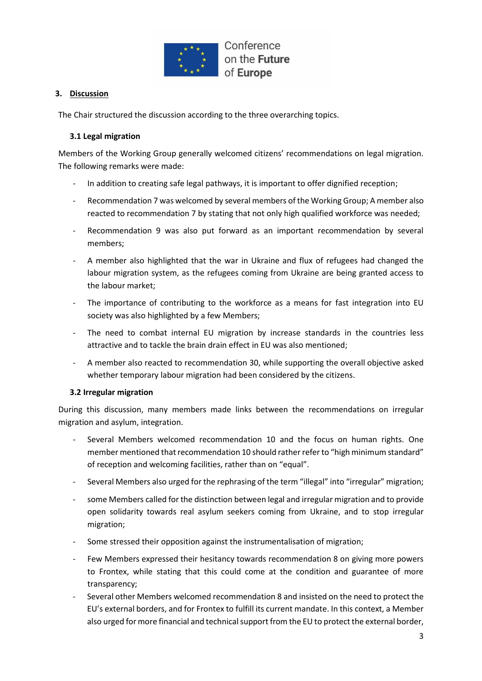

## **3. Discussion**

The Chair structured the discussion according to the three overarching topics.

### **3.1 Legal migration**

Members of the Working Group generally welcomed citizens' recommendations on legal migration. The following remarks were made:

- In addition to creating safe legal pathways, it is important to offer dignified reception;
- Recommendation 7 was welcomed by several members of the Working Group; A member also reacted to recommendation 7 by stating that not only high qualified workforce was needed;
- Recommendation 9 was also put forward as an important recommendation by several members;
- A member also highlighted that the war in Ukraine and flux of refugees had changed the labour migration system, as the refugees coming from Ukraine are being granted access to the labour market;
- The importance of contributing to the workforce as a means for fast integration into EU society was also highlighted by a few Members;
- The need to combat internal EU migration by increase standards in the countries less attractive and to tackle the brain drain effect in EU was also mentioned;
- A member also reacted to recommendation 30, while supporting the overall objective asked whether temporary labour migration had been considered by the citizens.

### **3.2 Irregular migration**

During this discussion, many members made links between the recommendations on irregular migration and asylum, integration.

- Several Members welcomed recommendation 10 and the focus on human rights. One member mentioned that recommendation 10 should rather refer to "high minimum standard" of reception and welcoming facilities, rather than on "equal".
- Several Members also urged for the rephrasing of the term "illegal" into "irregular" migration;
- some Members called for the distinction between legal and irregular migration and to provide open solidarity towards real asylum seekers coming from Ukraine, and to stop irregular migration;
- Some stressed their opposition against the instrumentalisation of migration;
- Few Members expressed their hesitancy towards recommendation 8 on giving more powers to Frontex, while stating that this could come at the condition and guarantee of more transparency;
- Several other Members welcomed recommendation 8 and insisted on the need to protect the EU's external borders, and for Frontex to fulfill its current mandate. In this context, a Member also urged for more financial and technical support from the EU to protect the external border,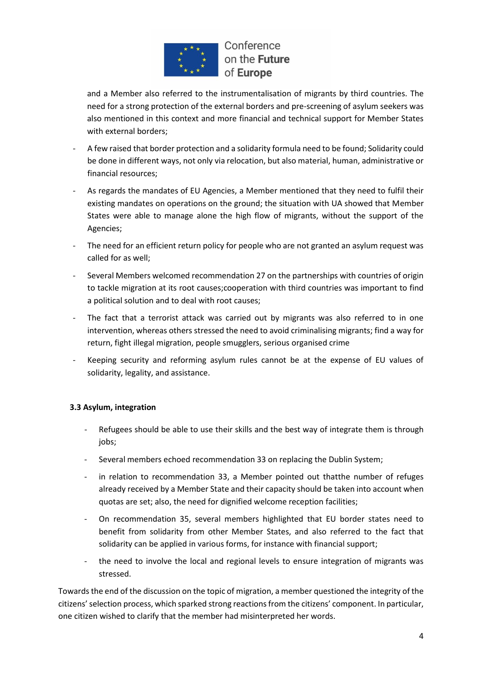

and a Member also referred to the instrumentalisation of migrants by third countries. The need for a strong protection of the external borders and pre-screening of asylum seekers was also mentioned in this context and more financial and technical support for Member States with external borders;

- A few raised that border protection and a solidarity formula need to be found; Solidarity could be done in different ways, not only via relocation, but also material, human, administrative or financial resources;
- As regards the mandates of EU Agencies, a Member mentioned that they need to fulfil their existing mandates on operations on the ground; the situation with UA showed that Member States were able to manage alone the high flow of migrants, without the support of the Agencies;
- The need for an efficient return policy for people who are not granted an asylum request was called for as well;
- Several Members welcomed recommendation 27 on the partnerships with countries of origin to tackle migration at its root causes;cooperation with third countries was important to find a political solution and to deal with root causes;
- The fact that a terrorist attack was carried out by migrants was also referred to in one intervention, whereas others stressed the need to avoid criminalising migrants; find a way for return, fight illegal migration, people smugglers, serious organised crime
- Keeping security and reforming asylum rules cannot be at the expense of EU values of solidarity, legality, and assistance.

## **3.3 Asylum, integration**

- Refugees should be able to use their skills and the best way of integrate them is through jobs;
- Several members echoed recommendation 33 on replacing the Dublin System;
- in relation to recommendation 33, a Member pointed out thatthe number of refuges already received by a Member State and their capacity should be taken into account when quotas are set; also, the need for dignified welcome reception facilities;
- On recommendation 35, several members highlighted that EU border states need to benefit from solidarity from other Member States, and also referred to the fact that solidarity can be applied in various forms, for instance with financial support;
- the need to involve the local and regional levels to ensure integration of migrants was stressed.

Towards the end of the discussion on the topic of migration, a member questioned the integrity of the citizens' selection process, which sparked strong reactions from the citizens' component. In particular, one citizen wished to clarify that the member had misinterpreted her words.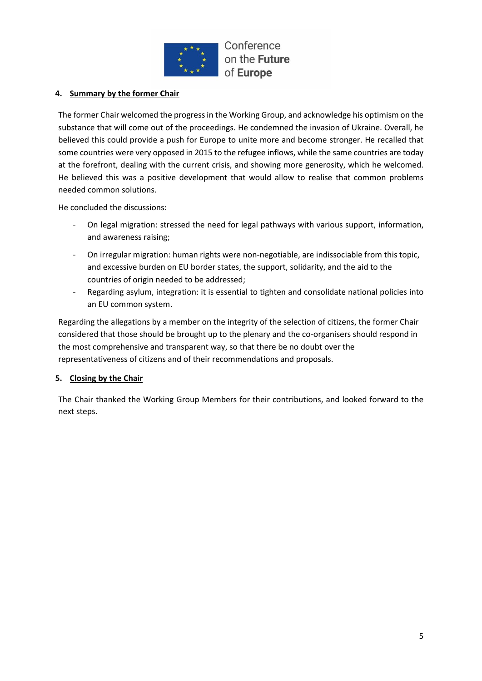

## **4. Summary by the former Chair**

The former Chair welcomed the progress in the Working Group, and acknowledge his optimism on the substance that will come out of the proceedings. He condemned the invasion of Ukraine. Overall, he believed this could provide a push for Europe to unite more and become stronger. He recalled that some countries were very opposed in 2015 to the refugee inflows, while the same countries are today at the forefront, dealing with the current crisis, and showing more generosity, which he welcomed. He believed this was a positive development that would allow to realise that common problems needed common solutions.

He concluded the discussions:

- On legal migration: stressed the need for legal pathways with various support, information, and awareness raising;
- On irregular migration: human rights were non-negotiable, are indissociable from this topic, and excessive burden on EU border states, the support, solidarity, and the aid to the countries of origin needed to be addressed;
- Regarding asylum, integration: it is essential to tighten and consolidate national policies into an EU common system.

Regarding the allegations by a member on the integrity of the selection of citizens, the former Chair considered that those should be brought up to the plenary and the co-organisers should respond in the most comprehensive and transparent way, so that there be no doubt over the representativeness of citizens and of their recommendations and proposals.

### **5. Closing by the Chair**

The Chair thanked the Working Group Members for their contributions, and looked forward to the next steps.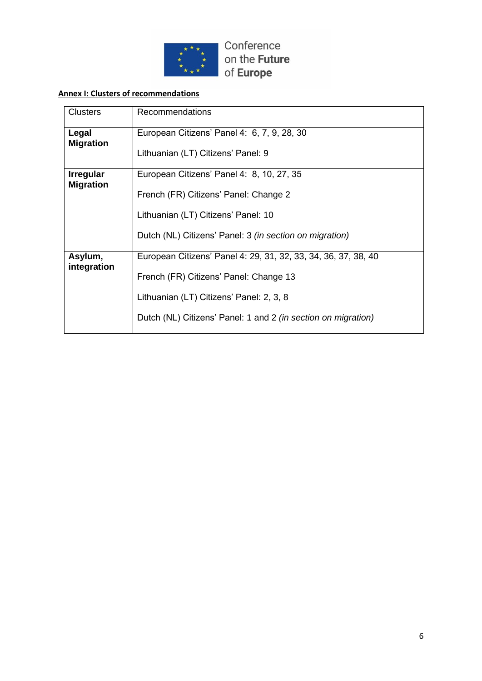

## **Annex I: Clusters of recommendations**

| <b>Clusters</b>                      | Recommendations                                                |  |  |
|--------------------------------------|----------------------------------------------------------------|--|--|
| Legal<br><b>Migration</b>            | European Citizens' Panel 4: 6, 7, 9, 28, 30                    |  |  |
|                                      | Lithuanian (LT) Citizens' Panel: 9                             |  |  |
| <b>Irregular</b><br><b>Migration</b> | European Citizens' Panel 4: 8, 10, 27, 35                      |  |  |
|                                      | French (FR) Citizens' Panel: Change 2                          |  |  |
|                                      | Lithuanian (LT) Citizens' Panel: 10                            |  |  |
|                                      | Dutch (NL) Citizens' Panel: 3 (in section on migration)        |  |  |
| Asylum,<br>integration               | European Citizens' Panel 4: 29, 31, 32, 33, 34, 36, 37, 38, 40 |  |  |
|                                      | French (FR) Citizens' Panel: Change 13                         |  |  |
|                                      | Lithuanian (LT) Citizens' Panel: 2, 3, 8                       |  |  |
|                                      | Dutch (NL) Citizens' Panel: 1 and 2 (in section on migration)  |  |  |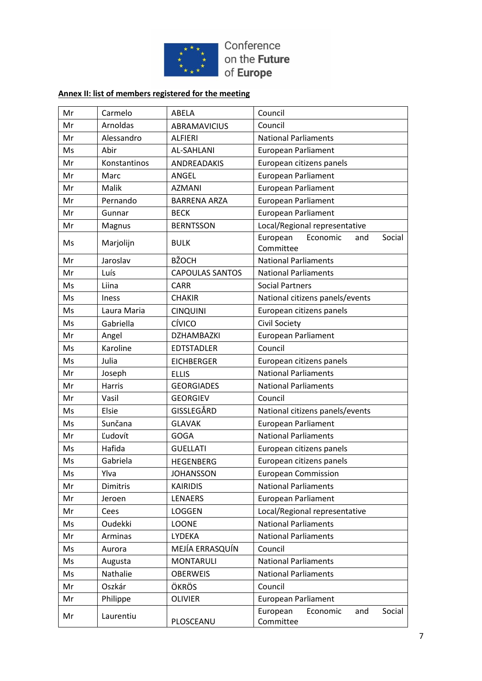

## **Annex II: list of members registered for the meeting**

| Mr | Carmelo        | ABELA                  | Council                                            |
|----|----------------|------------------------|----------------------------------------------------|
| Mr | Arnoldas       | <b>ABRAMAVICIUS</b>    | Council                                            |
| Mr | Alessandro     | <b>ALFIERI</b>         | <b>National Parliaments</b>                        |
| Ms | Abir           | <b>AL-SAHLANI</b>      | <b>European Parliament</b>                         |
| Mr | Konstantinos   | <b>ANDREADAKIS</b>     | European citizens panels                           |
| Mr | Marc           | ANGEL                  | <b>European Parliament</b>                         |
| Mr | Malik          | <b>AZMANI</b>          | <b>European Parliament</b>                         |
| Mr | Pernando       | <b>BARRENA ARZA</b>    | European Parliament                                |
| Mr | Gunnar         | <b>BECK</b>            | <b>European Parliament</b>                         |
| Mr | Magnus         | <b>BERNTSSON</b>       | Local/Regional representative                      |
| Ms | Marjolijn      | <b>BULK</b>            | Social<br>European<br>Economic<br>and<br>Committee |
| Mr | Jaroslav       | <b>BŽOCH</b>           | <b>National Parliaments</b>                        |
| Mr | Luís           | <b>CAPOULAS SANTOS</b> | <b>National Parliaments</b>                        |
| Ms | Liina          | <b>CARR</b>            | <b>Social Partners</b>                             |
| Ms | <b>Iness</b>   | <b>CHAKIR</b>          | National citizens panels/events                    |
| Ms | Laura Maria    | <b>CINQUINI</b>        | European citizens panels                           |
| Ms | Gabriella      | CÍVICO                 | Civil Society                                      |
| Mr | Angel          | DZHAMBAZKI             | <b>European Parliament</b>                         |
| Ms | Karoline       | <b>EDTSTADLER</b>      | Council                                            |
| Ms | Julia          | <b>EICHBERGER</b>      | European citizens panels                           |
| Mr | Joseph         | <b>ELLIS</b>           | <b>National Parliaments</b>                        |
| Mr | Harris         | <b>GEORGIADES</b>      | <b>National Parliaments</b>                        |
| Mr | Vasil          | <b>GEORGIEV</b>        | Council                                            |
| Ms | Elsie          | GISSLEGÅRD             | National citizens panels/events                    |
| Ms | Sunčana        | <b>GLAVAK</b>          | <b>European Parliament</b>                         |
| Mr | Ľudovít        | <b>GOGA</b>            | <b>National Parliaments</b>                        |
| Ms | Hafida         | <b>GUELLATI</b>        | European citizens panels                           |
| Ms | Gabriela       | <b>HEGENBERG</b>       | European citizens panels                           |
| Ms | Ylva           | <b>JOHANSSON</b>       | <b>European Commission</b>                         |
| Mr | Dimitris       | <b>KAIRIDIS</b>        | <b>National Parliaments</b>                        |
| Mr | Jeroen         | LENAERS                | <b>European Parliament</b>                         |
| Mr | Cees           | <b>LOGGEN</b>          | Local/Regional representative                      |
| Ms | <b>Oudekki</b> | <b>LOONE</b>           | <b>National Parliaments</b>                        |
| Mr | Arminas        | LYDEKA                 | <b>National Parliaments</b>                        |
| Ms | Aurora         | MEJÍA ERRASQUÍN        | Council                                            |
| Ms | Augusta        | <b>MONTARULI</b>       | <b>National Parliaments</b>                        |
| Ms | Nathalie       | <b>OBERWEIS</b>        | <b>National Parliaments</b>                        |
| Mr | Oszkár         | ÖKRÖS                  | Council                                            |
| Mr | Philippe       | <b>OLIVIER</b>         | <b>European Parliament</b>                         |
| Mr | Laurentiu      | PLOSCEANU              | Social<br>European<br>Economic<br>and<br>Committee |